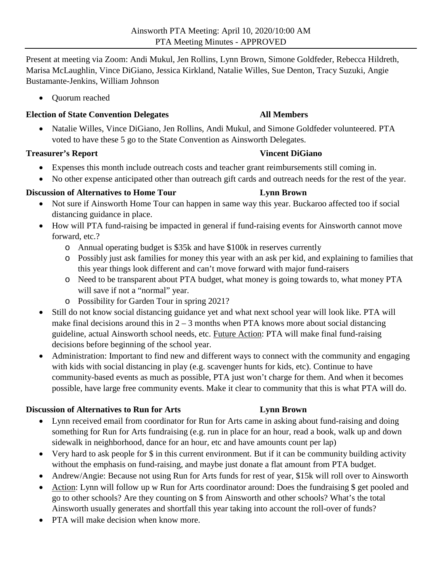Present at meeting via Zoom: Andi Mukul, Jen Rollins, Lynn Brown, Simone Goldfeder, Rebecca Hildreth, Marisa McLaughlin, Vince DiGiano, Jessica Kirkland, Natalie Willes, Sue Denton, Tracy Suzuki, Angie Bustamante-Jenkins, William Johnson

• Ouorum reached

### **Election of State Convention Delegates All Members**

 Natalie Willes, Vince DiGiano, Jen Rollins, Andi Mukul, and Simone Goldfeder volunteered. PTA voted to have these 5 go to the State Convention as Ainsworth Delegates.

### **Treasurer's Report Contract Contract Contract Contract Contract Contract Contract Contract Contract Contract Contract Contract Contract Contract Contract Contract Contract Contract Contract Contract Contract Contract Cont**

- Expenses this month include outreach costs and teacher grant reimbursements still coming in.
- No other expense anticipated other than outreach gift cards and outreach needs for the rest of the year.

## **Discussion of Alternatives to Home Tour Lynn Brown**

- Not sure if Ainsworth Home Tour can happen in same way this year. Buckaroo affected too if social distancing guidance in place.
- How will PTA fund-raising be impacted in general if fund-raising events for Ainsworth cannot move forward, etc.?
	- o Annual operating budget is \$35k and have \$100k in reserves currently
	- o Possibly just ask families for money this year with an ask per kid, and explaining to families that this year things look different and can't move forward with major fund-raisers
	- o Need to be transparent about PTA budget, what money is going towards to, what money PTA will save if not a "normal" year.
	- o Possibility for Garden Tour in spring 2021?
- Still do not know social distancing guidance yet and what next school year will look like. PTA will make final decisions around this in  $2 - 3$  months when PTA knows more about social distancing guideline, actual Ainsworth school needs, etc. Future Action: PTA will make final fund-raising decisions before beginning of the school year.
- Administration: Important to find new and different ways to connect with the community and engaging with kids with social distancing in play (e.g. scavenger hunts for kids, etc). Continue to have community-based events as much as possible, PTA just won't charge for them. And when it becomes possible, have large free community events. Make it clear to community that this is what PTA will do.

## **Discussion of Alternatives to Run for Arts Lynn Brown**

- Lynn received email from coordinator for Run for Arts came in asking about fund-raising and doing something for Run for Arts fundraising (e.g. run in place for an hour, read a book, walk up and down sidewalk in neighborhood, dance for an hour, etc and have amounts count per lap)
- Very hard to ask people for \$ in this current environment. But if it can be community building activity without the emphasis on fund-raising, and maybe just donate a flat amount from PTA budget.
- Andrew/Angie: Because not using Run for Arts funds for rest of year, \$15k will roll over to Ainsworth
- Action: Lynn will follow up w Run for Arts coordinator around: Does the fundraising \$ get pooled and go to other schools? Are they counting on \$ from Ainsworth and other schools? What's the total Ainsworth usually generates and shortfall this year taking into account the roll-over of funds?
- PTA will make decision when know more.